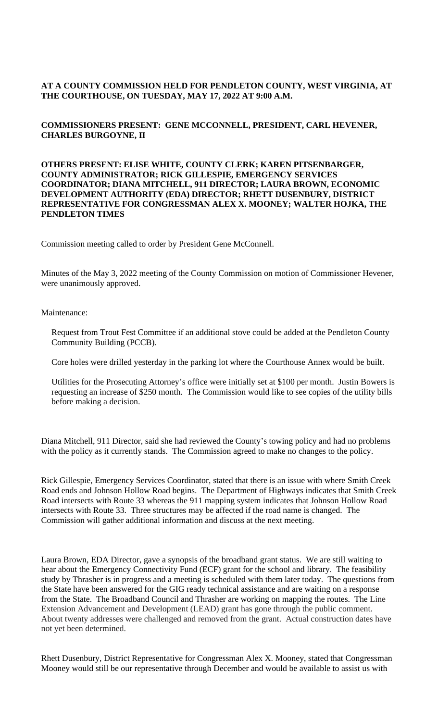## **AT A COUNTY COMMISSION HELD FOR PENDLETON COUNTY, WEST VIRGINIA, AT THE COURTHOUSE, ON TUESDAY, MAY 17, 2022 AT 9:00 A.M.**

## **COMMISSIONERS PRESENT: GENE MCCONNELL, PRESIDENT, CARL HEVENER, CHARLES BURGOYNE, II**

#### **OTHERS PRESENT: ELISE WHITE, COUNTY CLERK; KAREN PITSENBARGER, COUNTY ADMINISTRATOR; RICK GILLESPIE, EMERGENCY SERVICES COORDINATOR; DIANA MITCHELL, 911 DIRECTOR; LAURA BROWN, ECONOMIC DEVELOPMENT AUTHORITY (EDA) DIRECTOR; RHETT DUSENBURY, DISTRICT REPRESENTATIVE FOR CONGRESSMAN ALEX X. MOONEY; WALTER HOJKA, THE PENDLETON TIMES**

Commission meeting called to order by President Gene McConnell.

Minutes of the May 3, 2022 meeting of the County Commission on motion of Commissioner Hevener, were unanimously approved.

Maintenance:

Request from Trout Fest Committee if an additional stove could be added at the Pendleton County Community Building (PCCB).

Core holes were drilled yesterday in the parking lot where the Courthouse Annex would be built.

Utilities for the Prosecuting Attorney's office were initially set at \$100 per month. Justin Bowers is requesting an increase of \$250 month. The Commission would like to see copies of the utility bills before making a decision.

Diana Mitchell, 911 Director, said she had reviewed the County's towing policy and had no problems with the policy as it currently stands. The Commission agreed to make no changes to the policy.

Rick Gillespie, Emergency Services Coordinator, stated that there is an issue with where Smith Creek Road ends and Johnson Hollow Road begins. The Department of Highways indicates that Smith Creek Road intersects with Route 33 whereas the 911 mapping system indicates that Johnson Hollow Road intersects with Route 33. Three structures may be affected if the road name is changed. The Commission will gather additional information and discuss at the next meeting.

Laura Brown, EDA Director, gave a synopsis of the broadband grant status. We are still waiting to hear about the Emergency Connectivity Fund (ECF) grant for the school and library. The feasibility study by Thrasher is in progress and a meeting is scheduled with them later today. The questions from the State have been answered for the GIG ready technical assistance and are waiting on a response from the State. The Broadband Council and Thrasher are working on mapping the routes. The Line Extension Advancement and Development (LEAD) grant has gone through the public comment. About twenty addresses were challenged and removed from the grant. Actual construction dates have not yet been determined.

Rhett Dusenbury, District Representative for Congressman Alex X. Mooney, stated that Congressman Mooney would still be our representative through December and would be available to assist us with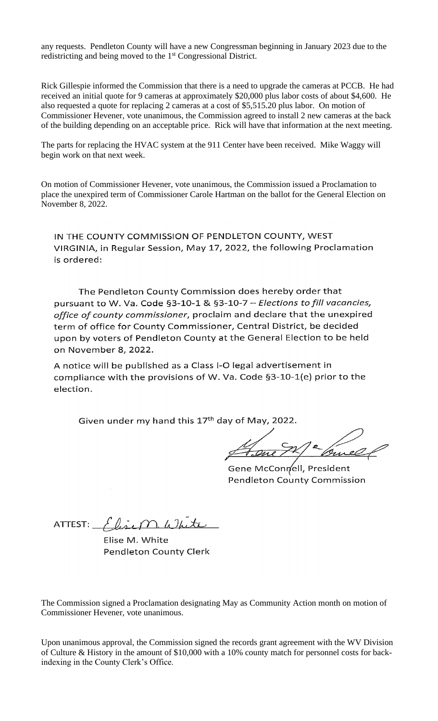any requests. Pendleton County will have a new Congressman beginning in January 2023 due to the redistricting and being moved to the 1<sup>st</sup> Congressional District.

Rick Gillespie informed the Commission that there is a need to upgrade the cameras at PCCB. He had received an initial quote for 9 cameras at approximately \$20,000 plus labor costs of about \$4,600. He also requested a quote for replacing 2 cameras at a cost of \$5,515.20 plus labor. On motion of Commissioner Hevener, vote unanimous, the Commission agreed to install 2 new cameras at the back of the building depending on an acceptable price. Rick will have that information at the next meeting.

The parts for replacing the HVAC system at the 911 Center have been received. Mike Waggy will begin work on that next week.

On motion of Commissioner Hevener, vote unanimous, the Commission issued a Proclamation to place the unexpired term of Commissioner Carole Hartman on the ballot for the General Election on November 8, 2022.

IN THE COUNTY COMMISSION OF PENDLETON COUNTY, WEST VIRGINIA, in Regular Session, May 17, 2022, the following Proclamation is ordered:

The Pendleton County Commission does hereby order that pursuant to W. Va. Code §3-10-1 & §3-10-7 - Elections to fill vacancies, office of county commissioner, proclaim and declare that the unexpired term of office for County Commissioner, Central District, be decided upon by voters of Pendleton County at the General Election to be held on November 8, 2022.

A notice will be published as a Class I-O legal advertisement in compliance with the provisions of W. Va. Code §3-10-1(e) prior to the election.

Given under my hand this 17<sup>th</sup> day of May, 2022.

Gene McConnell, President Pendleton County Commission

ATTEST:  $\int ln \mu x \, \mu \, \Omega$ 

Elise M. White Pendleton County Clerk

The Commission signed a Proclamation designating May as Community Action month on motion of Commissioner Hevener, vote unanimous.

Upon unanimous approval, the Commission signed the records grant agreement with the WV Division of Culture & History in the amount of \$10,000 with a 10% county match for personnel costs for backindexing in the County Clerk's Office.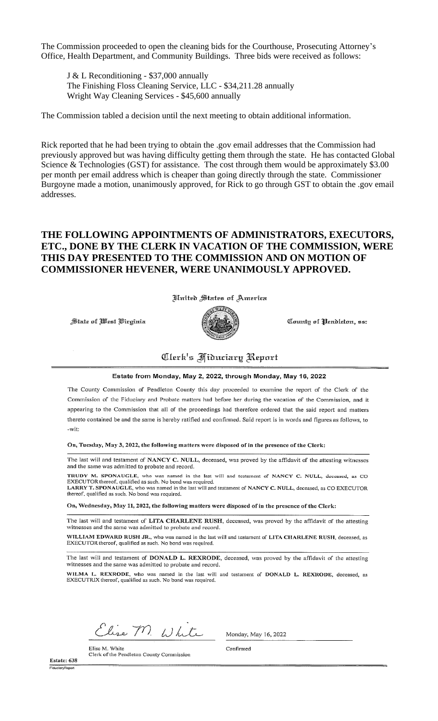The Commission proceeded to open the cleaning bids for the Courthouse, Prosecuting Attorney's Office, Health Department, and Community Buildings. Three bids were received as follows:

J & L Reconditioning - \$37,000 annually The Finishing Floss Cleaning Service, LLC - \$34,211.28 annually Wright Way Cleaning Services - \$45,600 annually

The Commission tabled a decision until the next meeting to obtain additional information.

Rick reported that he had been trying to obtain the .gov email addresses that the Commission had previously approved but was having difficulty getting them through the state. He has contacted Global Science & Technologies (GST) for assistance. The cost through them would be approximately \$3.00 per month per email address which is cheaper than going directly through the state. Commissioner Burgoyne made a motion, unanimously approved, for Rick to go through GST to obtain the .gov email addresses.

# THE FOLLOWING APPOINTMENTS OF ADMINISTRATORS, EXECUTORS, ETC., DONE BY THE CLERK IN VACATION OF THE COMMISSION, WERE THIS DAY PRESENTED TO THE COMMISSION AND ON MOTION OF **COMMISSIONER HEVENER, WERE UNANIMOUSLY APPROVED.**

*Hnited States of America* 

State of West Virginia



County of Pendleton, ss:

# Clerk's Fiduciary Report

#### Estate from Monday, May 2, 2022, through Monday, May 16, 2022

The County Commission of Pendleton County this day proceeded to examine the report of the Clerk of the Commission of the Fiduciary and Probate matters had before her during the vacation of the Commission, and it appearing to the Commission that all of the proceedings had therefore ordered that the said report and matters thereto contained be and the same is hereby ratified and confirmed. Said report is in words and figures as follows, to -wit:

On, Tuesday, May 3, 2022, the following matters were disposed of in the presence of the Clerk:

The last will and testament of NANCY C. NULL, deceased, was proved by the affidavit of the attesting witnesses and the same was admitted to probate and record.

TRUDY M. SPONAUGLE, who was named in the last will and testament of NANCY C. NULL, deceased, as CO EXECUTOR thereof, qualified as such. No bond was required.<br>LARRY T. SPONAUGLE, who was named in the last will and testament of NANCY C. NULL, deceased, as CO EXECUTOR

thereof, qualified as such. No bond was required. On, Wednesday, May 11, 2022, the following matters were disposed of in the presence of the Clerk:

The last will and testament of LITA CHARLENE RUSH, deceased, was proved by the affidavit of the attesting witnesses and the same was admitted to probate and record.

WILLIAM EDWARD RUSH JR., who was named in the last will and testament of LITA CHARLENE RUSH, deceased, as EXECUTOR thereof, qualified as such. No bond was required.

The last will and testament of DONALD L. REXRODE, deceased, was proved by the affidavit of the attesting witnesses and the same was admitted to probate and record.

WILMA L. REXRODE, who was named in the last will and testament of DONALD L. REXRODE, deceased, as EXECUTRIX thereof, qualified as such. No bond was required.

Elise M. White

Clerk of the Pendleton County Commission

Monday, May 16, 2022

Confirmed

Estate: 638 FiduciaryRepor

Elise M. White